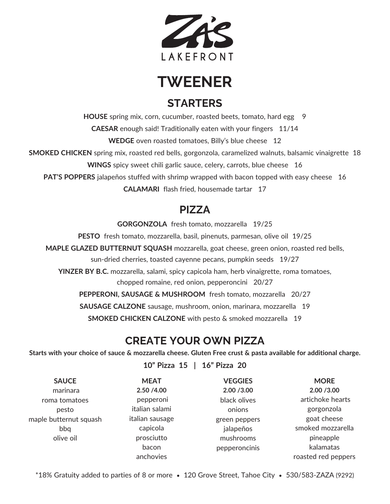

**TWEENER**

# **STARTERS**

**HOUSE** spring mix, corn, cucumber, roasted beets, tomato, hard egg 9 **CAESAR** enough said! Traditionally eaten with your fingers 11/14 **WEDGE** oven roasted tomatoes, Billy's blue cheese 12

**SMOKED CHICKEN** spring mix, roasted red bells, gorgonzola, caramelized walnuts, balsamic vinaigrette 18

**WINGS** spicy sweet chili garlic sauce, celery, carrots, blue cheese 16

**PAT'S POPPERS** jalapeños stuffed with shrimp wrapped with bacon topped with easy cheese 16

**CALAMARI** flash fried, housemade tartar 17

## **PIZZA**

**GORGONZOLA** fresh tomato, mozzarella 19/25

**PESTO** fresh tomato, mozzarella, basil, pinenuts, parmesan, olive oil 19/25

**MAPLE GLAZED BUTTERNUT SQUASH** mozzarella, goat cheese, green onion, roasted red bells, sun-dried cherries, toasted cayenne pecans, pumpkin seeds 19/27

**YINZER BY B.C.** mozzarella, salami, spicy capicola ham, herb vinaigrette, roma tomatoes, chopped romaine, red onion, pepperoncini 20/27

**PEPPERONI, SAUSAGE & MUSHROOM** fresh tomato, mozzarella 20/27

**SAUSAGE CALZONE** sausage, mushroom, onion, marinara, mozzarella 19

**SMOKED CHICKEN CALZONE** with pesto & smoked mozzarella 19

# **CREATE YOUR OWN PIZZA**

Starts with your choice of sauce & mozzarella cheese. Gluten Free crust & pasta available for additional charge.

**10" Pizza 15 | 16" Pizza 20**

| <b>SAUCE</b>           | <b>MEAT</b>     | <b>VEGGIES</b> | <b>MORE</b>         |
|------------------------|-----------------|----------------|---------------------|
| marinara               | 2.50 / 4.00     | 2.00 / 3.00    | 2.00 / 3.00         |
| roma tomatoes          | pepperoni       | black olives   | artichoke hearts    |
| pesto                  | italian salami  | onions         | gorgonzola          |
| maple butternut squash | italian sausage | green peppers  | goat cheese         |
| bbq                    | capicola        | jalapeños      | smoked mozzarella   |
| olive oil              | prosciutto      | mushrooms      | pineapple           |
|                        | bacon           | pepperoncinis  | kalamatas           |
|                        | anchovies       |                | roasted red peppers |

\*18% Gratuity added to parties of 8 or more • 120 Grove Street, Tahoe City • 530/583-ZAZA (9292)